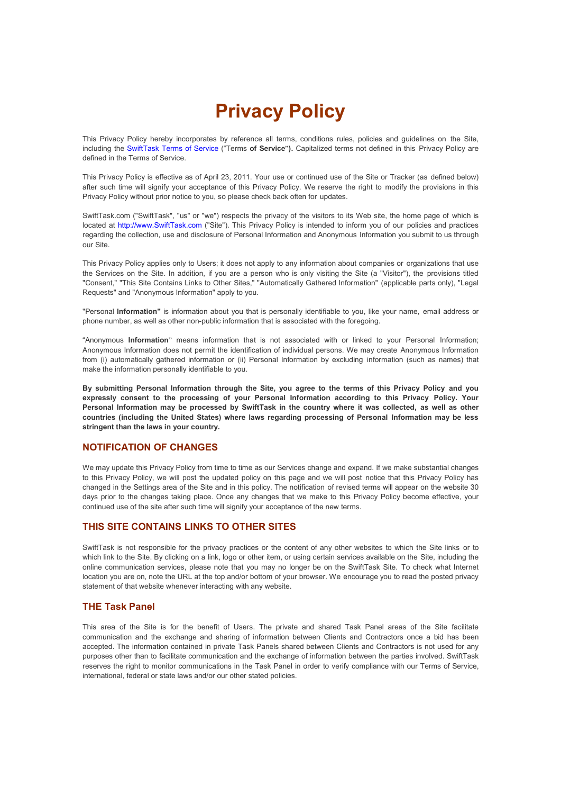# **Privacy Policy**

This Privacy Policy hereby incorporates by reference all terms, conditions rules, policies and guidelines on the Site, including the SwiftTask Terms of Service ("Terms **of Service**"**).** Capitalized terms not defined in this Privacy Policy are defined in the Terms of Service.

This Privacy Policy is effective as of April 23, 2011. Your use or continued use of the Site or Tracker (as defined below) after such time will signify your acceptance of this Privacy Policy. We reserve the right to modify the provisions in this Privacy Policy without prior notice to you, so please check back often for updates.

SwiftTask.com ("SwiftTask", "us" or "we") respects the privacy of the visitors to its Web site, the home page of which is located at http://www.SwiftTask.com ("Site"). This Privacy Policy is intended to inform you of our policies and practices regarding the collection, use and disclosure of Personal Information and Anonymous Information you submit to us through our Site.

This Privacy Policy applies only to Users; it does not apply to any information about companies or organizations that use the Services on the Site. In addition, if you are a person who is only visiting the Site (a "Visitor"), the provisions titled "Consent," "This Site Contains Links to Other Sites," "Automatically Gathered Information" (applicable parts only), "Legal Requests" and "Anonymous Information" apply to you.

"Personal **Information"** is information about you that is personally identifiable to you, like your name, email address or phone number, as well as other non-public information that is associated with the foregoing.

"Anonymous **Information**" means information that is not associated with or linked to your Personal Information; Anonymous Information does not permit the identification of individual persons. We may create Anonymous Information from (i) automatically gathered information or (ii) Personal Information by excluding information (such as names) that make the information personally identifiable to you.

**By submitting Personal Information through the Site, you agree to the terms of this Privacy Policy and you expressly consent to the processing of your Personal Information according to this Privacy Policy. Your Personal Information may be processed by SwiftTask in the country where it was collected, as well as other countries (including the United States) where laws regarding processing of Personal Information may be less stringent than the laws in your country.** 

# **NOTIFICATION OF CHANGES**

We may update this Privacy Policy from time to time as our Services change and expand. If we make substantial changes to this Privacy Policy, we will post the updated policy on this page and we will post notice that this Privacy Policy has changed in the Settings area of the Site and in this policy. The notification of revised terms will appear on the website 30 days prior to the changes taking place. Once any changes that we make to this Privacy Policy become effective, your continued use of the site after such time will signify your acceptance of the new terms.

# **THIS SITE CONTAINS LINKS TO OTHER SITES**

SwiftTask is not responsible for the privacy practices or the content of any other websites to which the Site links or to which link to the Site. By clicking on a link, logo or other item, or using certain services available on the Site, including the online communication services, please note that you may no longer be on the SwiftTask Site. To check what Internet location you are on, note the URL at the top and/or bottom of your browser. We encourage you to read the posted privacy statement of that website whenever interacting with any website.

# **THE Task Panel**

This area of the Site is for the benefit of Users. The private and shared Task Panel areas of the Site facilitate communication and the exchange and sharing of information between Clients and Contractors once a bid has been accepted. The information contained in private Task Panels shared between Clients and Contractors is not used for any purposes other than to facilitate communication and the exchange of information between the parties involved. SwiftTask reserves the right to monitor communications in the Task Panel in order to verify compliance with our Terms of Service, international, federal or state laws and/or our other stated policies.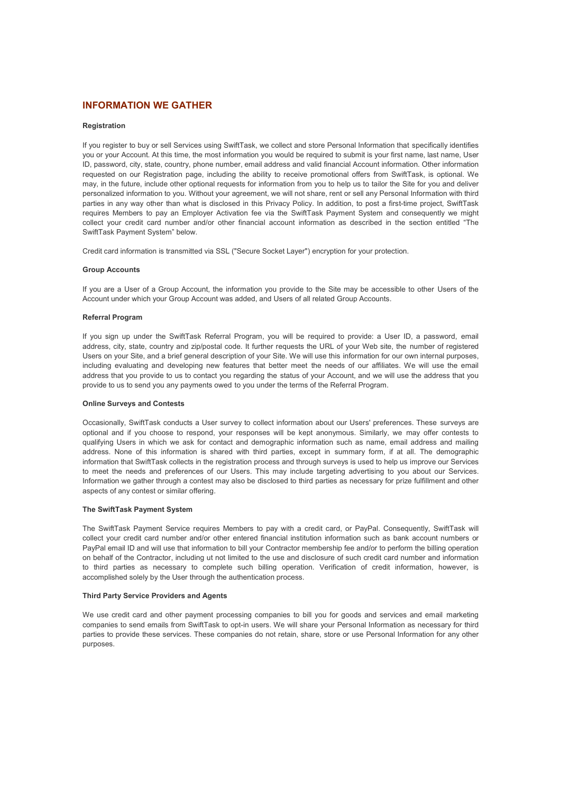# **INFORMATION WE GATHER**

## **Registration**

If you register to buy or sell Services using SwiftTask, we collect and store Personal Information that specifically identifies you or your Account. At this time, the most information you would be required to submit is your first name, last name, User ID, password, city, state, country, phone number, email address and valid financial Account information. Other information requested on our Registration page, including the ability to receive promotional offers from SwiftTask, is optional. We may, in the future, include other optional requests for information from you to help us to tailor the Site for you and deliver personalized information to you. Without your agreement, we will not share, rent or sell any Personal Information with third parties in any way other than what is disclosed in this Privacy Policy. In addition, to post a first-time project, SwiftTask requires Members to pay an Employer Activation fee via the SwiftTask Payment System and consequently we might collect your credit card number and/or other financial account information as described in the section entitled "The SwiftTask Payment System" below.

Credit card information is transmitted via SSL ("Secure Socket Layer") encryption for your protection.

#### **Group Accounts**

If you are a User of a Group Account, the information you provide to the Site may be accessible to other Users of the Account under which your Group Account was added, and Users of all related Group Accounts.

# **Referral Program**

If you sign up under the SwiftTask Referral Program, you will be required to provide: a User ID, a password, email address, city, state, country and zip/postal code. It further requests the URL of your Web site, the number of registered Users on your Site, and a brief general description of your Site. We will use this information for our own internal purposes, including evaluating and developing new features that better meet the needs of our affiliates. We will use the email address that you provide to us to contact you regarding the status of your Account, and we will use the address that you provide to us to send you any payments owed to you under the terms of the Referral Program.

#### **Online Surveys and Contests**

Occasionally, SwiftTask conducts a User survey to collect information about our Users' preferences. These surveys are optional and if you choose to respond, your responses will be kept anonymous. Similarly, we may offer contests to qualifying Users in which we ask for contact and demographic information such as name, email address and mailing address. None of this information is shared with third parties, except in summary form, if at all. The demographic information that SwiftTask collects in the registration process and through surveys is used to help us improve our Services to meet the needs and preferences of our Users. This may include targeting advertising to you about our Services. Information we gather through a contest may also be disclosed to third parties as necessary for prize fulfillment and other aspects of any contest or similar offering.

# **The SwiftTask Payment System**

The SwiftTask Payment Service requires Members to pay with a credit card, or PayPal. Consequently, SwiftTask will collect your credit card number and/or other entered financial institution information such as bank account numbers or PayPal email ID and will use that information to bill your Contractor membership fee and/or to perform the billing operation on behalf of the Contractor, including ut not limited to the use and disclosure of such credit card number and information to third parties as necessary to complete such billing operation. Verification of credit information, however, is accomplished solely by the User through the authentication process.

# **Third Party Service Providers and Agents**

We use credit card and other payment processing companies to bill you for goods and services and email marketing companies to send emails from SwiftTask to opt-in users. We will share your Personal Information as necessary for third parties to provide these services. These companies do not retain, share, store or use Personal Information for any other purposes.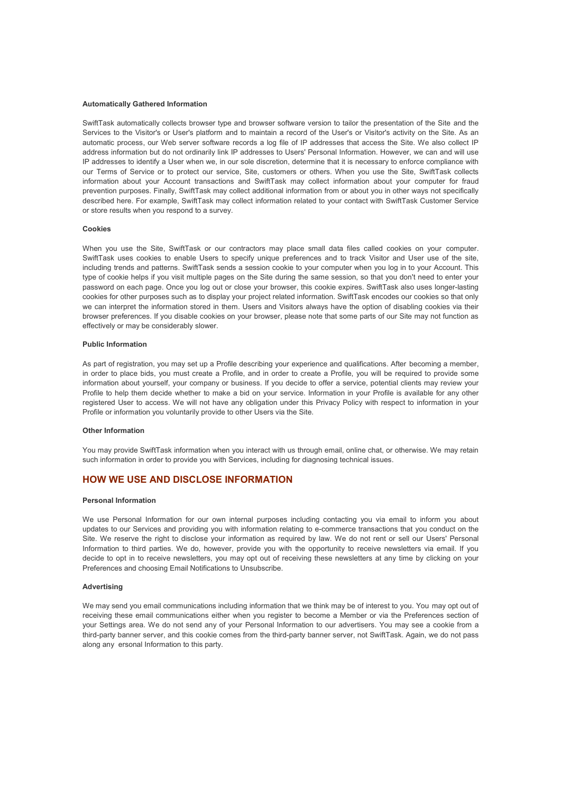#### **Automatically Gathered Information**

SwiftTask automatically collects browser type and browser software version to tailor the presentation of the Site and the Services to the Visitor's or User's platform and to maintain a record of the User's or Visitor's activity on the Site. As an automatic process, our Web server software records a log file of IP addresses that access the Site. We also collect IP address information but do not ordinarily link IP addresses to Users' Personal Information. However, we can and will use IP addresses to identify a User when we, in our sole discretion, determine that it is necessary to enforce compliance with our Terms of Service or to protect our service, Site, customers or others. When you use the Site, SwiftTask collects information about your Account transactions and SwiftTask may collect information about your computer for fraud prevention purposes. Finally, SwiftTask may collect additional information from or about you in other ways not specifically described here. For example, SwiftTask may collect information related to your contact with SwiftTask Customer Service or store results when you respond to a survey.

#### **Cookies**

When you use the Site, SwiftTask or our contractors may place small data files called cookies on your computer. SwiftTask uses cookies to enable Users to specify unique preferences and to track Visitor and User use of the site, including trends and patterns. SwiftTask sends a session cookie to your computer when you log in to your Account. This type of cookie helps if you visit multiple pages on the Site during the same session, so that you don't need to enter your password on each page. Once you log out or close your browser, this cookie expires. SwiftTask also uses longer-lasting cookies for other purposes such as to display your project related information. SwiftTask encodes our cookies so that only we can interpret the information stored in them. Users and Visitors always have the option of disabling cookies via their browser preferences. If you disable cookies on your browser, please note that some parts of our Site may not function as effectively or may be considerably slower.

## **Public Information**

As part of registration, you may set up a Profile describing your experience and qualifications. After becoming a member, in order to place bids, you must create a Profile, and in order to create a Profile, you will be required to provide some information about yourself, your company or business. If you decide to offer a service, potential clients may review your Profile to help them decide whether to make a bid on your service. Information in your Profile is available for any other registered User to access. We will not have any obligation under this Privacy Policy with respect to information in your Profile or information you voluntarily provide to other Users via the Site.

# **Other Information**

You may provide SwiftTask information when you interact with us through email, online chat, or otherwise. We may retain such information in order to provide you with Services, including for diagnosing technical issues.

# **HOW WE USE AND DISCLOSE INFORMATION**

#### **Personal Information**

We use Personal Information for our own internal purposes including contacting you via email to inform you about updates to our Services and providing you with information relating to e-commerce transactions that you conduct on the Site. We reserve the right to disclose your information as required by law. We do not rent or sell our Users' Personal Information to third parties. We do, however, provide you with the opportunity to receive newsletters via email. If you decide to opt in to receive newsletters, you may opt out of receiving these newsletters at any time by clicking on your Preferences and choosing Email Notifications to Unsubscribe.

## **Advertising**

We may send you email communications including information that we think may be of interest to you. You may opt out of receiving these email communications either when you register to become a Member or via the Preferences section of your Settings area. We do not send any of your Personal Information to our advertisers. You may see a cookie from a third-party banner server, and this cookie comes from the third-party banner server, not SwiftTask. Again, we do not pass along any ersonal Information to this party.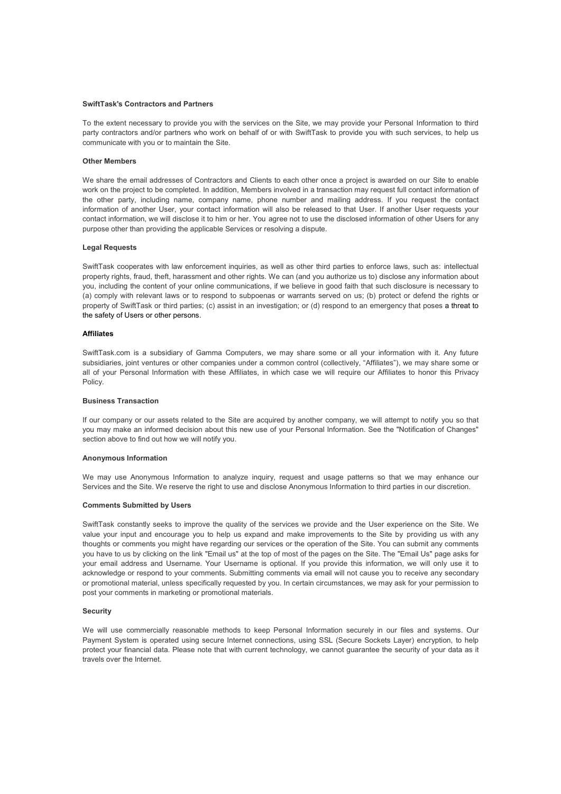## **SwiftTask's Contractors and Partners**

To the extent necessary to provide you with the services on the Site, we may provide your Personal Information to third party contractors and/or partners who work on behalf of or with SwiftTask to provide you with such services, to help us communicate with you or to maintain the Site.

# **Other Members**

We share the email addresses of Contractors and Clients to each other once a project is awarded on our Site to enable work on the project to be completed. In addition, Members involved in a transaction may request full contact information of the other party, including name, company name, phone number and mailing address. If you request the contact information of another User, your contact information will also be released to that User. If another User requests your contact information, we will disclose it to him or her. You agree not to use the disclosed information of other Users for any purpose other than providing the applicable Services or resolving a dispute.

#### **Legal Requests**

SwiftTask cooperates with law enforcement inquiries, as well as other third parties to enforce laws, such as: intellectual property rights, fraud, theft, harassment and other rights. We can (and you authorize us to) disclose any information about you, including the content of your online communications, if we believe in good faith that such disclosure is necessary to (a) comply with relevant laws or to respond to subpoenas or warrants served on us; (b) protect or defend the rights or property of SwiftTask or third parties; (c) assist in an investigation; or (d) respond to an emergency that poses a threat to the safety of Users or other persons.

# **Affiliates**

SwiftTask.com is a subsidiary of Gamma Computers, we may share some or all your information with it. Any future subsidiaries, joint ventures or other companies under a common control (collectively, "Affiliates"), we may share some or all of your Personal Information with these Affiliates, in which case we will require our Affiliates to honor this Privacy Policy.

#### **Business Transaction**

If our company or our assets related to the Site are acquired by another company, we will attempt to notify you so that you may make an informed decision about this new use of your Personal Information. See the "Notification of Changes" section above to find out how we will notify you.

# **Anonymous Information**

We may use Anonymous Information to analyze inquiry, request and usage patterns so that we may enhance our Services and the Site. We reserve the right to use and disclose Anonymous Information to third parties in our discretion.

#### **Comments Submitted by Users**

SwiftTask constantly seeks to improve the quality of the services we provide and the User experience on the Site. We value your input and encourage you to help us expand and make improvements to the Site by providing us with any thoughts or comments you might have regarding our services or the operation of the Site. You can submit any comments you have to us by clicking on the link "Email us" at the top of most of the pages on the Site. The "Email Us" page asks for your email address and Username. Your Username is optional. If you provide this information, we will only use it to acknowledge or respond to your comments. Submitting comments via email will not cause you to receive any secondary or promotional material, unless specifically requested by you. In certain circumstances, we may ask for your permission to post your comments in marketing or promotional materials.

#### **Security**

We will use commercially reasonable methods to keep Personal Information securely in our files and systems. Our Payment System is operated using secure Internet connections, using SSL (Secure Sockets Layer) encryption, to help protect your financial data. Please note that with current technology, we cannot guarantee the security of your data as it travels over the Internet.